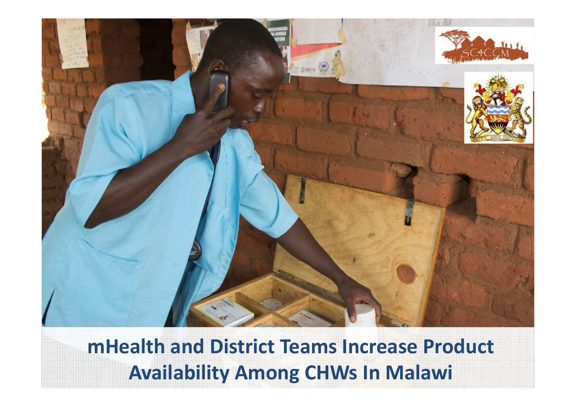

**mHealth and District Teams Increase Product Availability Among CHWs In Malawi**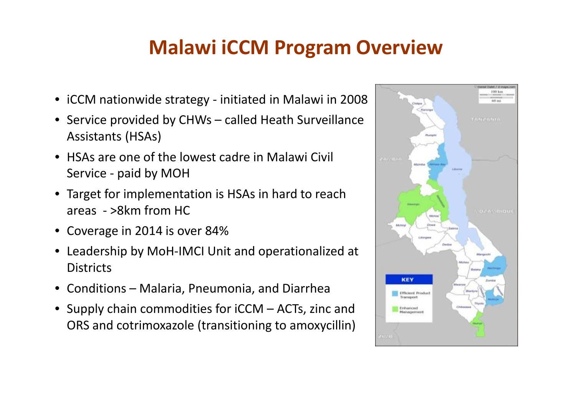## **Malawi iCCM Program Overview**

- iCCM nationwide strategy initiated in Malawi in 2008
- • Service provided by CHWs – called Heath Surveillance Assistants (HSAs)
- • HSAs are one of the lowest cadre in Malawi Civil Service - paid by MOH
- Target for implementation is HSAs in hard to reach areas - >8km from HC
- Coverage in 2014 is over 84%
- • Leadership by MoH-IMCI Unit and operationalized at **Districts**
- Conditions Malaria, Pneumonia, and Diarrhea
- Supply chain commodities for  $\text{iCCM} \text{ACTs}$ , zinc and  $\text{CPS}$  and sotrimovazale (transitioning to amovagillin) ORS and cotrimoxazole (transitioning to amoxycillin)

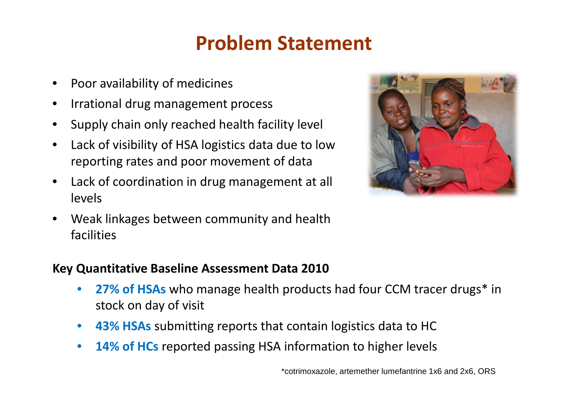## **Problem Statement**

- •Poor availability of medicines
- •Irrational drug management process
- $\bullet$ Supply chain only reached health facility level
- • Lack of visibility of HSA logistics data due to lowreporting rates and poor movement of data
- • Lack of coordination in drug management at all levels
- • Weak linkages between community and health facilities



#### **Key Quantitative Baseline Assessment Data 2010**

- •**27% of HSAs** who manage health products had four CCM tracer drugs<sup>\*</sup> in stock on day of visit
- •**43% HSAs** submitting reports that contain logistics data to HC
- •**14% of HCs** reported passing HSA information to higher levels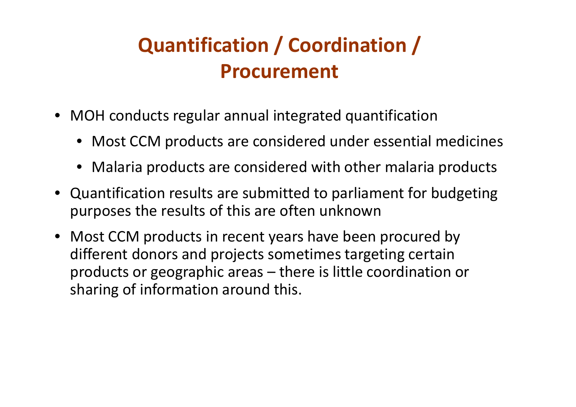# **Quantification / Coordination / Procurement**

- MOH conducts regular annual integrated quantification
	- Most CCM products are considered under essential medicines
	- Malaria products are considered with other malaria products
- Quantification results are submitted to parliament for budgeting purposes the results of this are often unknown
- Most CCM products in recent years have been procured by different donors and projects sometimes targeting certain products or geographic areas – there is little coordination or sharing of information around this.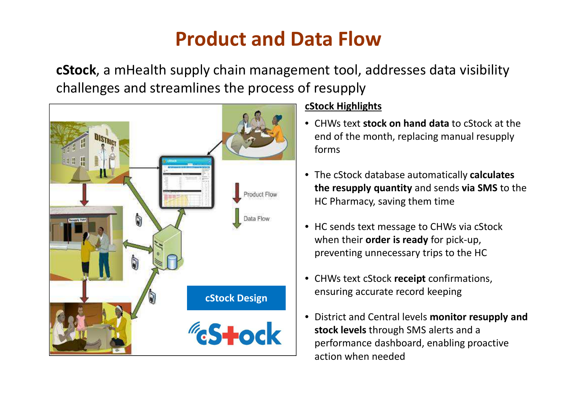## **Product and Data Flow**

**cStock**, a mHealth supply chain management tool, addresses data visibility challenges and streamlines the process of resupply



#### **cStock Highlights**

- CHWs text **stock on hand data** to cStock at the end of the month, replacing manual resupply forms
- The cStock database automatically **calculates the resupply quantity** and sends **via SMS** to the HC Pharmacy, saving them time
- HC sends text message to CHWs via cStockwhen their **order is ready** for pick-up, preventing unnecessary trips to the HC
- CHWs text cStock **receipt** confirmations, ensuring accurate record keeping
- District and Central levels **monitor resupply and stock levels** through SMS alerts and a performance dashboard, enabling proactive action when needed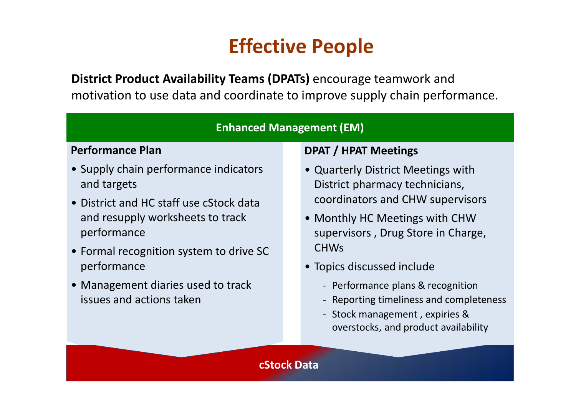## **Effective People**

**District Product Availability Teams (DPATs)** encourage teamwork and motivation to use data and coordinate to improve supply chain performance.

#### **Enhanced Management (EM)**

#### **Performance Plan**

- Supply chain performance indicators and targets
- District and HC staff use cStock data and resupply worksheets to track performance
- Formal recognition system to drive SC performance
- Management diaries used to track issues and actions taken

#### **DPAT / HPAT Meetings**

- Quarterly District Meetings with District pharmacy technicians, coordinators and CHW supervisors
- Monthly HC Meetings with CHW supervisors , Drug Store in Charge, CHWs
- Topics discussed include
	- Performance plans & recognition
	- Reporting timeliness and completeness
	- Stock management , expiries & overstocks, and product availability

#### **cStock Data**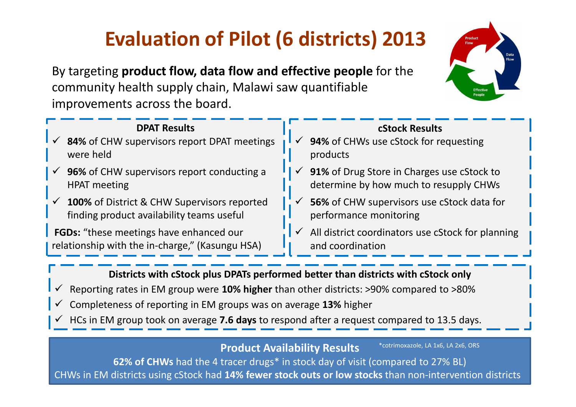# **Evaluation of Pilot (6 districts) 2013**

By targeting **product flow, data flow and effective people** for the community health supply chain, Malawi saw quantifiable improvements across the board.



| <b>DPAT Results</b><br>$\checkmark$ 84% of CHW supervisors report DPAT meetings<br>were held          | $\checkmark$ | <b>cStock Results</b><br>94% of CHWs use cStock for requesting<br>products           |
|-------------------------------------------------------------------------------------------------------|--------------|--------------------------------------------------------------------------------------|
| 96% of CHW supervisors report conducting a<br><b>HPAT</b> meeting                                     | $\checkmark$ | 91% of Drug Store in Charges use cStock to<br>determine by how much to resupply CHWs |
| $\checkmark$ 100% of District & CHW Supervisors reported<br>finding product availability teams useful |              | 56% of CHW supervisors use cStock data for<br>performance monitoring                 |
| FGDs: "these meetings have enhanced our<br>relationship with the in-charge," (Kasungu HSA)            | $\checkmark$ | All district coordinators use cStock for planning<br>and coordination                |

**Districts with cStock plus DPATs performed better than districts with cStock only**

- $\checkmark$ Reporting rates in EM group were **10% higher** than other districts: >90% compared to >80%
- $\checkmark$ Completeness of reporting in EM groups was on average **13%** higher
- HCs in EM group took on average **7.6 days** to respond after a request compared to 13.5 days.

**Product Availability Results**

\*cotrimoxazole, LA 1x6, LA 2x6, ORS

 s **62% of CHWs** had the 4 tracer drugs\* in stock day of visit (compared to 27% BL)CHWs in EM districts using cStock had **14% fewer stock outs or low stocks** than non-intervention districts